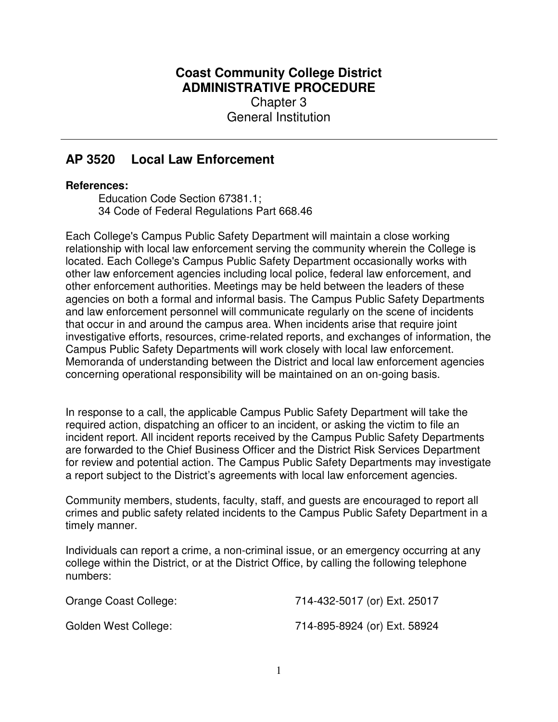## **Coast Community College District ADMINISTRATIVE PROCEDURE** Chapter 3 General Institution

## **AP 3520 Local Law Enforcement**

## **References:**

Education Code Section 67381.1; 34 Code of Federal Regulations Part 668.46

Each College's Campus Public Safety Department will maintain a close working relationship with local law enforcement serving the community wherein the College is located. Each College's Campus Public Safety Department occasionally works with other law enforcement agencies including local police, federal law enforcement, and other enforcement authorities. Meetings may be held between the leaders of these agencies on both a formal and informal basis. The Campus Public Safety Departments and law enforcement personnel will communicate regularly on the scene of incidents that occur in and around the campus area. When incidents arise that require joint investigative efforts, resources, crime-related reports, and exchanges of information, the Campus Public Safety Departments will work closely with local law enforcement. Memoranda of understanding between the District and local law enforcement agencies concerning operational responsibility will be maintained on an on-going basis.

In response to a call, the applicable Campus Public Safety Department will take the required action, dispatching an officer to an incident, or asking the victim to file an incident report. All incident reports received by the Campus Public Safety Departments are forwarded to the Chief Business Officer and the District Risk Services Department for review and potential action. The Campus Public Safety Departments may investigate a report subject to the District's agreements with local law enforcement agencies.

Community members, students, faculty, staff, and guests are encouraged to report all crimes and public safety related incidents to the Campus Public Safety Department in a timely manner.

Individuals can report a crime, a non-criminal issue, or an emergency occurring at any college within the District, or at the District Office, by calling the following telephone numbers:

| Orange Coast College: | 714-432-5017 (or) Ext. 25017 |
|-----------------------|------------------------------|
| Golden West College:  | 714-895-8924 (or) Ext. 58924 |